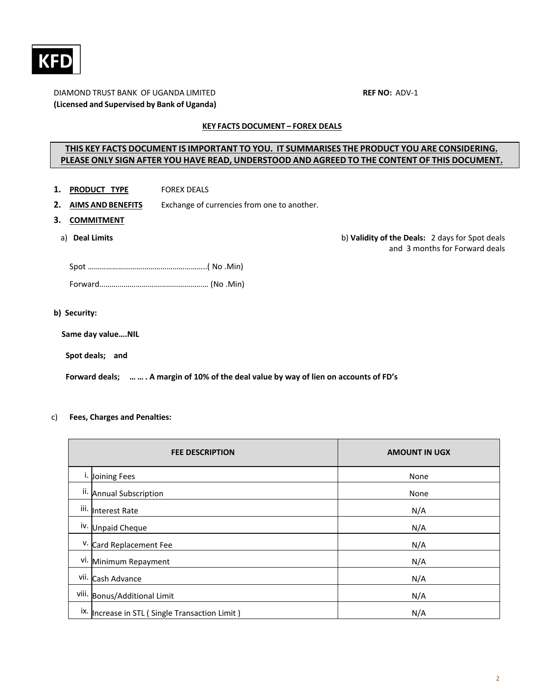

# DIAMOND TRUST BANK OF UGANDA LIMITED **REF NO:** ADV‐1 **(Licensed and Supervised by Bank of Uganda)**

# **KEY FACTS DOCUMENT – FOREX DEALS**

# **THIS KEY FACTS DOCUMENT IS IMPORTANT TO YOU. IT SUMMARISES THE PRODUCT YOU ARE CONSIDERING. PLEASE ONLY SIGN AFTER YOU HAVE READ, UNDERSTOOD AND AGREED TO THE CONTENT OF THIS DOCUMENT.**

- 1. **PRODUCT TYPE FOREX DEALS**
- **2. AIMS AND BENEFITS** Exchange of currencies from one to another.
- **3. COMMITMENT**
	-

a) **Deal Limits** b) **Validity of the Deals:**  2 days for Spot deals and 3 months for Forward deals

### **b) Security:**

 **Same day value….NIL**

 **Spot deals; and** 

Forward deals; ... ... . A margin of 10% of the deal value by way of lien on accounts of FD's

# c) **Fees, Charges and Penalties:**

|      | <b>FEE DESCRIPTION</b>                             | <b>AMOUNT IN UGX</b> |  |
|------|----------------------------------------------------|----------------------|--|
|      | <sup>i.</sup> Joining Fees                         | None                 |  |
|      | ii. Annual Subscription                            | None                 |  |
|      | iii. Interest Rate                                 | N/A                  |  |
|      | iv. Unpaid Cheque                                  | N/A                  |  |
|      | V. Card Replacement Fee                            | N/A                  |  |
|      | vi. Minimum Repayment                              | N/A                  |  |
| vii. | Cash Advance                                       | N/A                  |  |
|      | viii. Bonus/Additional Limit                       | N/A                  |  |
|      | ix.   Increase in STL ( Single Transaction Limit ) | N/A                  |  |